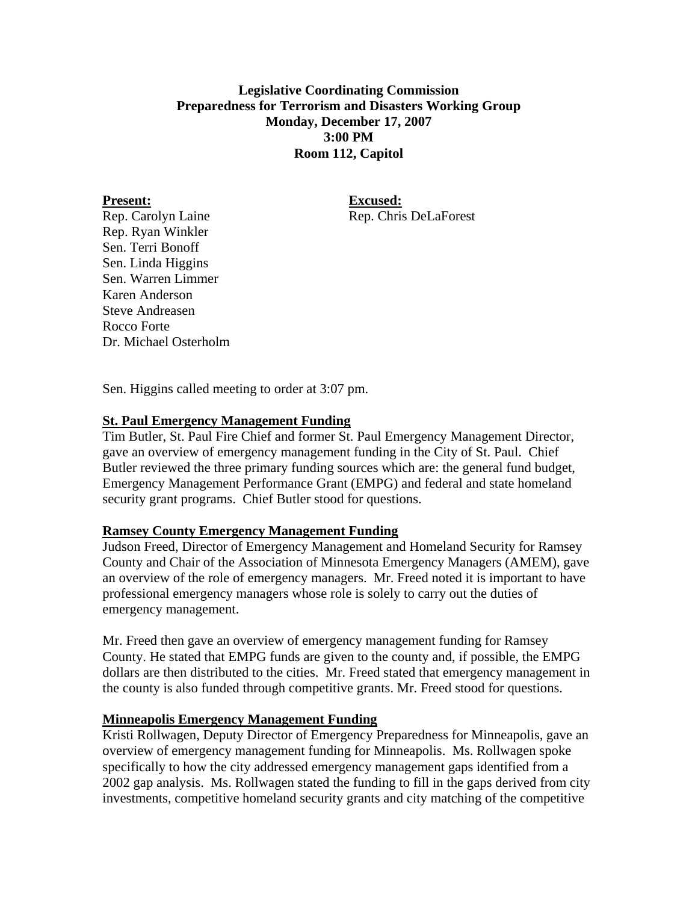# **Legislative Coordinating Commission Preparedness for Terrorism and Disasters Working Group Monday, December 17, 2007 3:00 PM Room 112, Capitol**

Present: Excused: Rep. Carolyn Laine Rep. Chris DeLaForest

Rep. Ryan Winkler Sen. Terri Bonoff Sen. Linda Higgins Sen. Warren Limmer Karen Anderson Steve Andreasen Rocco Forte Dr. Michael Osterholm

Sen. Higgins called meeting to order at 3:07 pm.

# **St. Paul Emergency Management Funding**

Tim Butler, St. Paul Fire Chief and former St. Paul Emergency Management Director, gave an overview of emergency management funding in the City of St. Paul. Chief Butler reviewed the three primary funding sources which are: the general fund budget, Emergency Management Performance Grant (EMPG) and federal and state homeland security grant programs. Chief Butler stood for questions.

### **Ramsey County Emergency Management Funding**

Judson Freed, Director of Emergency Management and Homeland Security for Ramsey County and Chair of the Association of Minnesota Emergency Managers (AMEM), gave an overview of the role of emergency managers. Mr. Freed noted it is important to have professional emergency managers whose role is solely to carry out the duties of emergency management.

Mr. Freed then gave an overview of emergency management funding for Ramsey County. He stated that EMPG funds are given to the county and, if possible, the EMPG dollars are then distributed to the cities. Mr. Freed stated that emergency management in the county is also funded through competitive grants. Mr. Freed stood for questions.

### **Minneapolis Emergency Management Funding**

Kristi Rollwagen, Deputy Director of Emergency Preparedness for Minneapolis, gave an overview of emergency management funding for Minneapolis. Ms. Rollwagen spoke specifically to how the city addressed emergency management gaps identified from a 2002 gap analysis. Ms. Rollwagen stated the funding to fill in the gaps derived from city investments, competitive homeland security grants and city matching of the competitive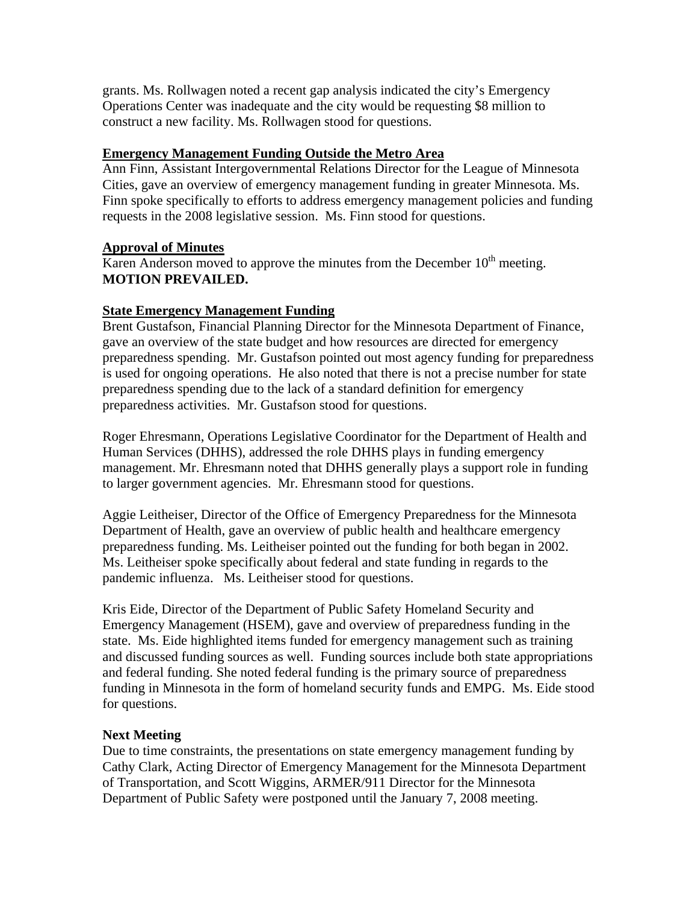grants. Ms. Rollwagen noted a recent gap analysis indicated the city's Emergency Operations Center was inadequate and the city would be requesting \$8 million to construct a new facility. Ms. Rollwagen stood for questions.

# **Emergency Management Funding Outside the Metro Area**

Ann Finn, Assistant Intergovernmental Relations Director for the League of Minnesota Cities, gave an overview of emergency management funding in greater Minnesota. Ms. Finn spoke specifically to efforts to address emergency management policies and funding requests in the 2008 legislative session. Ms. Finn stood for questions.

# **Approval of Minutes**

Karen Anderson moved to approve the minutes from the December  $10<sup>th</sup>$  meeting. **MOTION PREVAILED.** 

# **State Emergency Management Funding**

Brent Gustafson, Financial Planning Director for the Minnesota Department of Finance, gave an overview of the state budget and how resources are directed for emergency preparedness spending. Mr. Gustafson pointed out most agency funding for preparedness is used for ongoing operations. He also noted that there is not a precise number for state preparedness spending due to the lack of a standard definition for emergency preparedness activities. Mr. Gustafson stood for questions.

Roger Ehresmann, Operations Legislative Coordinator for the Department of Health and Human Services (DHHS), addressed the role DHHS plays in funding emergency management. Mr. Ehresmann noted that DHHS generally plays a support role in funding to larger government agencies. Mr. Ehresmann stood for questions.

Aggie Leitheiser, Director of the Office of Emergency Preparedness for the Minnesota Department of Health, gave an overview of public health and healthcare emergency preparedness funding. Ms. Leitheiser pointed out the funding for both began in 2002. Ms. Leitheiser spoke specifically about federal and state funding in regards to the pandemic influenza. Ms. Leitheiser stood for questions.

Kris Eide, Director of the Department of Public Safety Homeland Security and Emergency Management (HSEM), gave and overview of preparedness funding in the state. Ms. Eide highlighted items funded for emergency management such as training and discussed funding sources as well. Funding sources include both state appropriations and federal funding. She noted federal funding is the primary source of preparedness funding in Minnesota in the form of homeland security funds and EMPG. Ms. Eide stood for questions.

### **Next Meeting**

Due to time constraints, the presentations on state emergency management funding by Cathy Clark, Acting Director of Emergency Management for the Minnesota Department of Transportation, and Scott Wiggins, ARMER/911 Director for the Minnesota Department of Public Safety were postponed until the January 7, 2008 meeting.